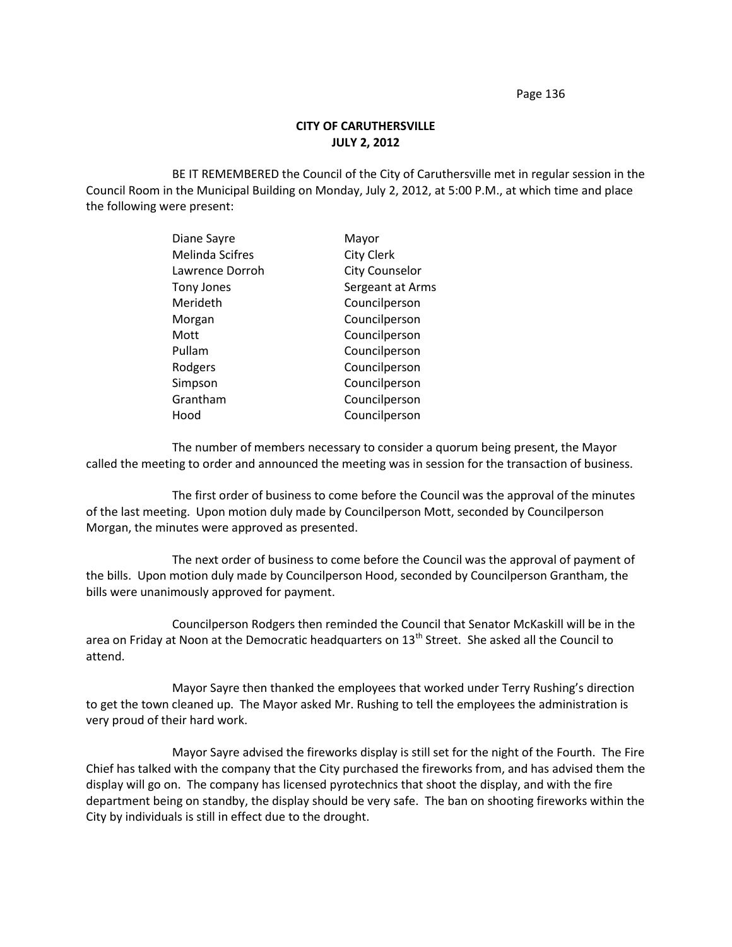Page 136

## **CITY OF CARUTHERSVILLE JULY 2, 2012**

BE IT REMEMBERED the Council of the City of Caruthersville met in regular session in the Council Room in the Municipal Building on Monday, July 2, 2012, at 5:00 P.M., at which time and place the following were present:

| Diane Sayre            | Mayor                 |
|------------------------|-----------------------|
| <b>Melinda Scifres</b> | <b>City Clerk</b>     |
| Lawrence Dorroh        | <b>City Counselor</b> |
| Tony Jones             | Sergeant at Arms      |
| Merideth               | Councilperson         |
| Morgan                 | Councilperson         |
| Mott                   | Councilperson         |
| Pullam                 | Councilperson         |
| Rodgers                | Councilperson         |
| Simpson                | Councilperson         |
| Grantham               | Councilperson         |
| Hood                   | Councilperson         |

The number of members necessary to consider a quorum being present, the Mayor called the meeting to order and announced the meeting was in session for the transaction of business.

The first order of business to come before the Council was the approval of the minutes of the last meeting. Upon motion duly made by Councilperson Mott, seconded by Councilperson Morgan, the minutes were approved as presented.

The next order of business to come before the Council was the approval of payment of the bills. Upon motion duly made by Councilperson Hood, seconded by Councilperson Grantham, the bills were unanimously approved for payment.

Councilperson Rodgers then reminded the Council that Senator McKaskill will be in the area on Friday at Noon at the Democratic headquarters on 13<sup>th</sup> Street. She asked all the Council to attend.

Mayor Sayre then thanked the employees that worked under Terry Rushing's direction to get the town cleaned up. The Mayor asked Mr. Rushing to tell the employees the administration is very proud of their hard work.

Mayor Sayre advised the fireworks display is still set for the night of the Fourth. The Fire Chief has talked with the company that the City purchased the fireworks from, and has advised them the display will go on. The company has licensed pyrotechnics that shoot the display, and with the fire department being on standby, the display should be very safe. The ban on shooting fireworks within the City by individuals is still in effect due to the drought.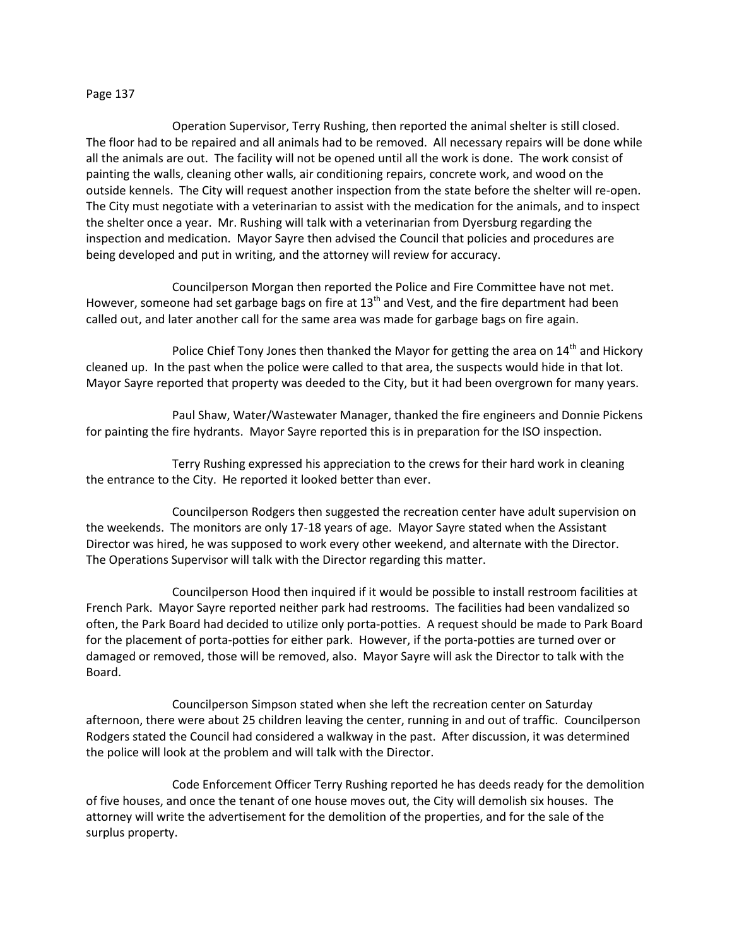## Page 137

Operation Supervisor, Terry Rushing, then reported the animal shelter is still closed. The floor had to be repaired and all animals had to be removed. All necessary repairs will be done while all the animals are out. The facility will not be opened until all the work is done. The work consist of painting the walls, cleaning other walls, air conditioning repairs, concrete work, and wood on the outside kennels. The City will request another inspection from the state before the shelter will re-open. The City must negotiate with a veterinarian to assist with the medication for the animals, and to inspect the shelter once a year. Mr. Rushing will talk with a veterinarian from Dyersburg regarding the inspection and medication. Mayor Sayre then advised the Council that policies and procedures are being developed and put in writing, and the attorney will review for accuracy.

Councilperson Morgan then reported the Police and Fire Committee have not met. However, someone had set garbage bags on fire at  $13<sup>th</sup>$  and Vest, and the fire department had been called out, and later another call for the same area was made for garbage bags on fire again.

Police Chief Tony Jones then thanked the Mayor for getting the area on  $14<sup>th</sup>$  and Hickory cleaned up. In the past when the police were called to that area, the suspects would hide in that lot. Mayor Sayre reported that property was deeded to the City, but it had been overgrown for many years.

Paul Shaw, Water/Wastewater Manager, thanked the fire engineers and Donnie Pickens for painting the fire hydrants. Mayor Sayre reported this is in preparation for the ISO inspection.

Terry Rushing expressed his appreciation to the crews for their hard work in cleaning the entrance to the City. He reported it looked better than ever.

Councilperson Rodgers then suggested the recreation center have adult supervision on the weekends. The monitors are only 17-18 years of age. Mayor Sayre stated when the Assistant Director was hired, he was supposed to work every other weekend, and alternate with the Director. The Operations Supervisor will talk with the Director regarding this matter.

Councilperson Hood then inquired if it would be possible to install restroom facilities at French Park. Mayor Sayre reported neither park had restrooms. The facilities had been vandalized so often, the Park Board had decided to utilize only porta-potties. A request should be made to Park Board for the placement of porta-potties for either park. However, if the porta-potties are turned over or damaged or removed, those will be removed, also. Mayor Sayre will ask the Director to talk with the Board.

Councilperson Simpson stated when she left the recreation center on Saturday afternoon, there were about 25 children leaving the center, running in and out of traffic. Councilperson Rodgers stated the Council had considered a walkway in the past. After discussion, it was determined the police will look at the problem and will talk with the Director.

Code Enforcement Officer Terry Rushing reported he has deeds ready for the demolition of five houses, and once the tenant of one house moves out, the City will demolish six houses. The attorney will write the advertisement for the demolition of the properties, and for the sale of the surplus property.